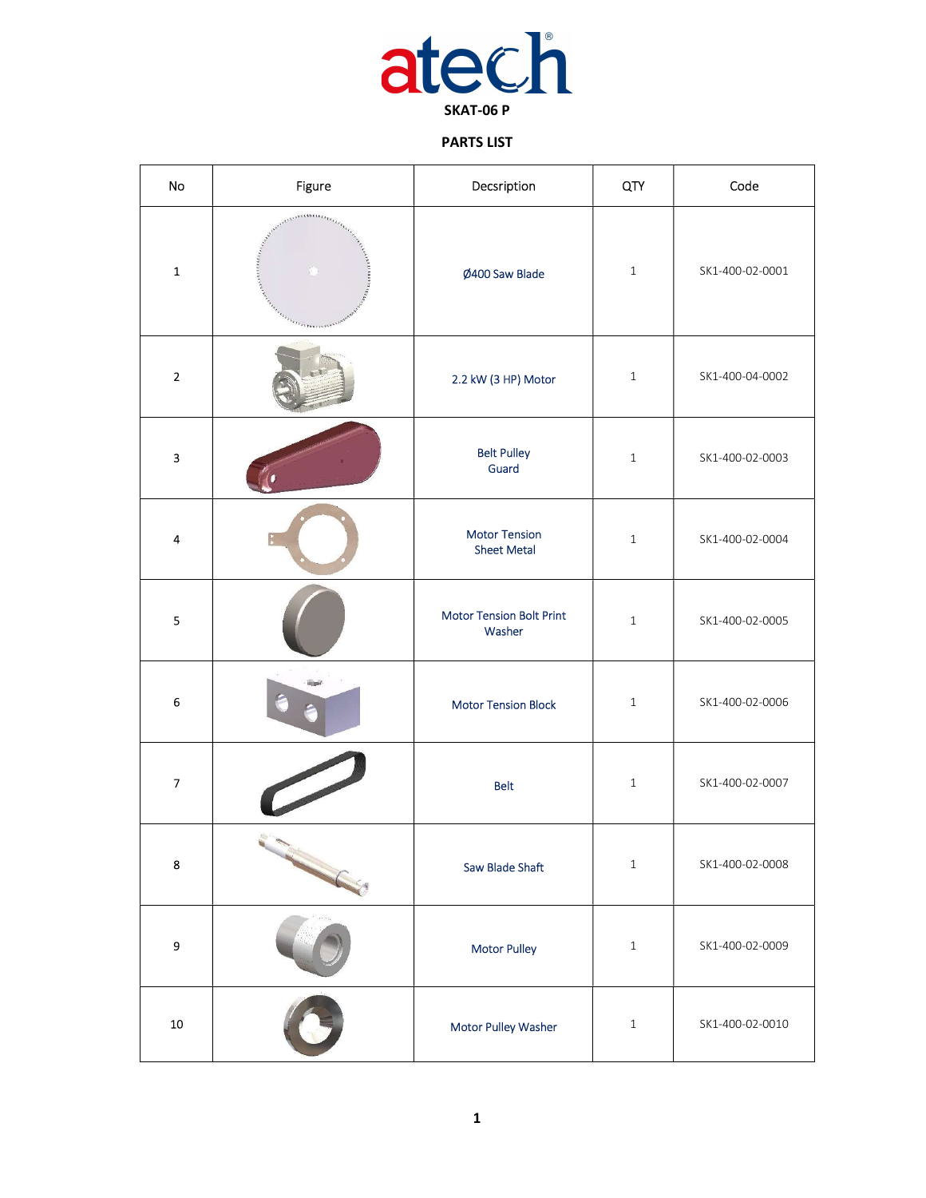

## PARTS LIST

| No                       | Figure                                                                                                       | Decsription                                | QTY          | Code            |
|--------------------------|--------------------------------------------------------------------------------------------------------------|--------------------------------------------|--------------|-----------------|
| $\mathbf 1$              | <b>URLESTED FRE</b><br>AUGUSTA LANDS<br>range of the company of the company of the company of the company of | Ø400 Saw Blade                             | $\mathbf{1}$ | SK1-400-02-0001 |
| $\overline{2}$           |                                                                                                              | 2.2 kW (3 HP) Motor                        | $\,1\,$      | SK1-400-04-0002 |
| 3                        |                                                                                                              | <b>Belt Pulley</b><br>Guard                | $\,1\,$      | SK1-400-02-0003 |
| 4                        |                                                                                                              | <b>Motor Tension</b><br><b>Sheet Metal</b> | $\,1\,$      | SK1-400-02-0004 |
| 5                        |                                                                                                              | <b>Motor Tension Bolt Print</b><br>Washer  | $\,1\,$      | SK1-400-02-0005 |
| 6                        |                                                                                                              | <b>Motor Tension Block</b>                 | $\mathbf{1}$ | SK1-400-02-0006 |
| $\overline{\phantom{a}}$ |                                                                                                              | <b>Belt</b>                                | $\mathbf{1}$ | SK1-400-02-0007 |
| 8                        |                                                                                                              | <b>Saw Blade Shaft</b>                     | $\,1\,$      | SK1-400-02-0008 |
| 9                        |                                                                                                              | <b>Motor Pulley</b>                        | $\,1\,$      | SK1-400-02-0009 |
| ${\bf 10}$               |                                                                                                              | Motor Pulley Washer                        | $\,1\,$      | SK1-400-02-0010 |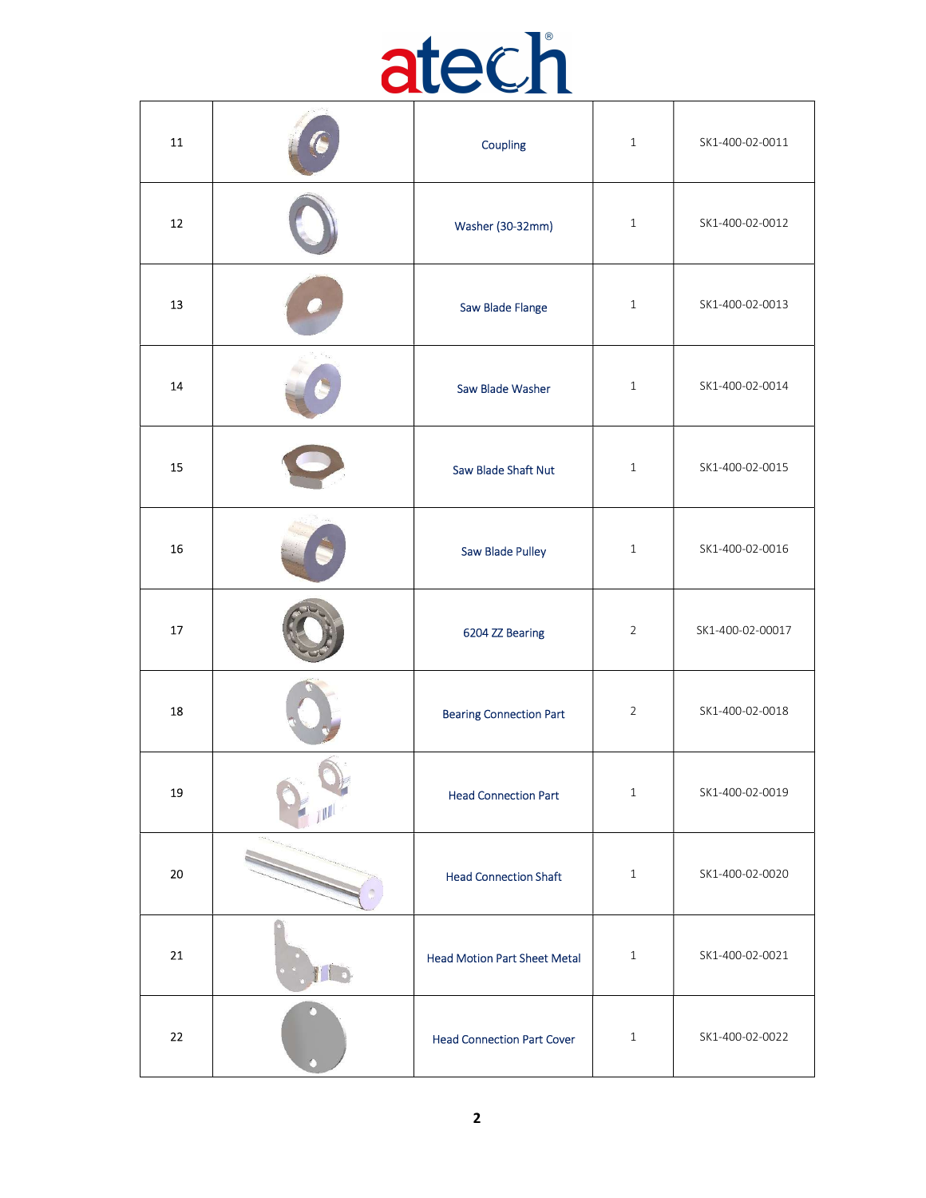

| 11         |   | Coupling                            | $\mathbf{1}$   | SK1-400-02-0011  |
|------------|---|-------------------------------------|----------------|------------------|
| $12\,$     |   | Washer (30-32mm)                    | $\mathbf{1}$   | SK1-400-02-0012  |
| 13         |   | Saw Blade Flange                    | $\mathbf{1}$   | SK1-400-02-0013  |
| 14         |   | Saw Blade Washer                    | $\,1\,$        | SK1-400-02-0014  |
| 15         |   | Saw Blade Shaft Nut                 | $\mathbf{1}$   | SK1-400-02-0015  |
| 16         |   | Saw Blade Pulley                    | $\mathbf{1}$   | SK1-400-02-0016  |
| 17         |   | 6204 ZZ Bearing                     | $\overline{2}$ | SK1-400-02-00017 |
| 18         |   | <b>Bearing Connection Part</b>      | $\overline{2}$ | SK1-400-02-0018  |
| ${\bf 19}$ |   | <b>Head Connection Part</b>         | $\,1\,$        | SK1-400-02-0019  |
| $20\,$     |   | <b>Head Connection Shaft</b>        | $\mathbf{1}$   | SK1-400-02-0020  |
| ${\bf 21}$ |   | <b>Head Motion Part Sheet Metal</b> | $\mathbf{1}$   | SK1-400-02-0021  |
| 22         | n | <b>Head Connection Part Cover</b>   | $1\,$          | SK1-400-02-0022  |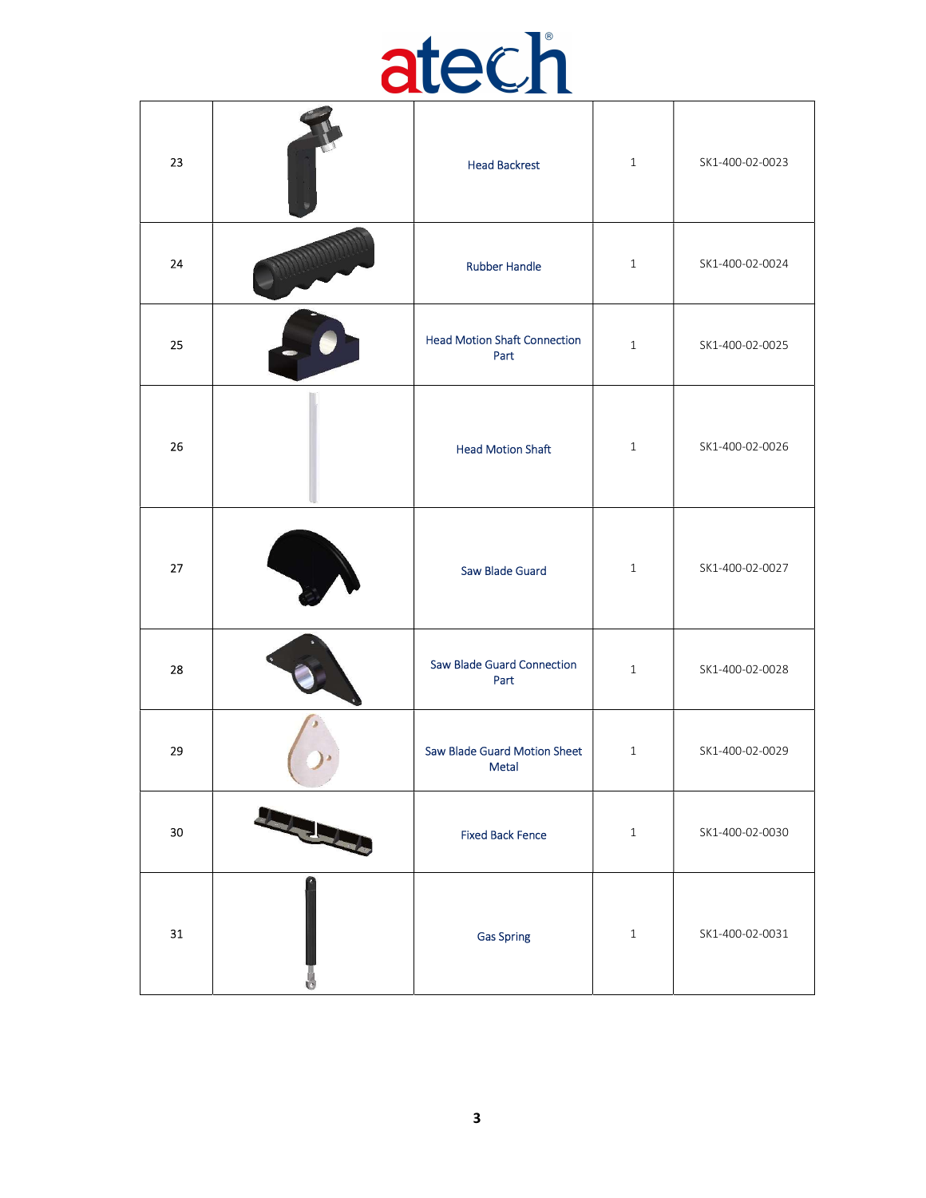## atech

| 23     |              | <b>Head Backrest</b>                        | $\mathbf{1}$ | SK1-400-02-0023 |
|--------|--------------|---------------------------------------------|--------------|-----------------|
| 24     |              | <b>Rubber Handle</b>                        | $\mathbf{1}$ | SK1-400-02-0024 |
| 25     |              | <b>Head Motion Shaft Connection</b><br>Part | $\mathbf{1}$ | SK1-400-02-0025 |
| 26     |              | <b>Head Motion Shaft</b>                    | $\,1\,$      | SK1-400-02-0026 |
| 27     |              | Saw Blade Guard                             | $\mathbf{1}$ | SK1-400-02-0027 |
| 28     |              | Saw Blade Guard Connection<br>Part          | $\mathbf{1}$ | SK1-400-02-0028 |
| 29     |              | Saw Blade Guard Motion Sheet<br>Metal       | $\mathbf{1}$ | SK1-400-02-0029 |
| $30\,$ | <b>RANCH</b> | <b>Fixed Back Fence</b>                     | $\,1\,$      | SK1-400-02-0030 |
| 31     |              | <b>Gas Spring</b>                           | $\,1\,$      | SK1-400-02-0031 |